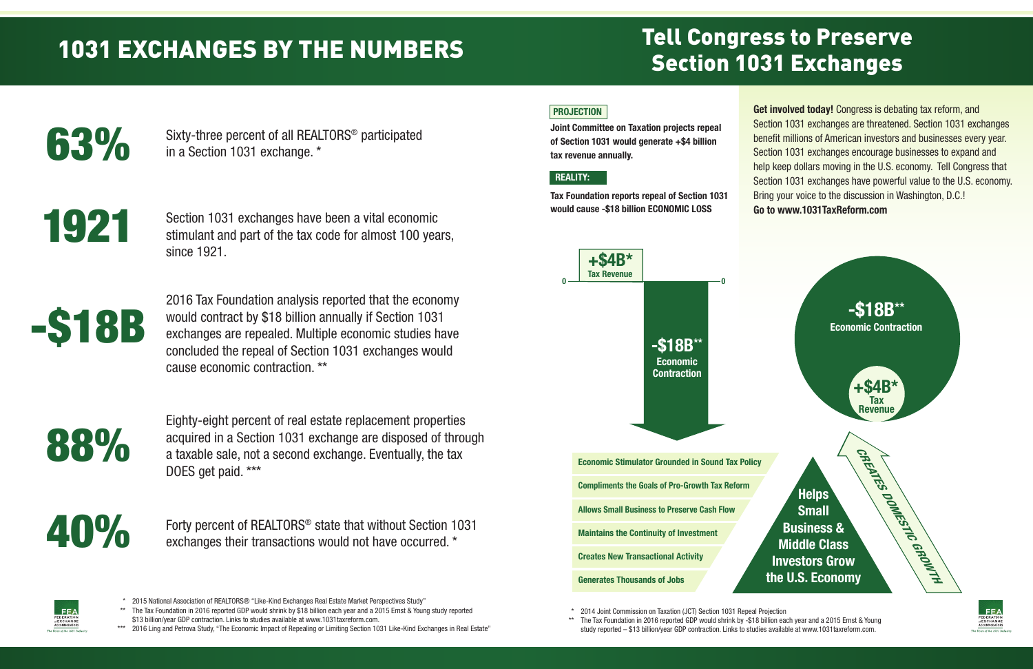### Tell Congress to Preserve Section 1031 Exchanges

\* 2014 Joint Commission on Taxation (JCT) Section 1031 Repeal Projection \*\* The Tax Foundation in 2016 reported GDP would shrink by -\$18 billion each year and a 2015 Ernst & Young study reported – \$13 billion/year GDP contraction. Links to studies available at www.1031taxreform.com.



- \* 2015 National Association of REALTORS® "Like-Kind Exchanges Real Estate Market Perspectives Study"
- \*\* The Tax Foundation in 2016 reported GDP would shrink by \$18 billion each year and a 2015 Ernst & Young study reported \$13 billion/year GDP contraction. Links to studies available at www.1031taxreform.com.
- \*\*\* 2016 Ling and Petrova Study, "The Economic Impact of Repealing or Limiting Section 1031 Like-Kind Exchanges in Real Estate'





**Economic Stimulator Grounded in Sound Tax Policy Compliments the Goals of Pro-Growth Tax Reform Allows Small Business to Preserve Cash Flow Maintains the Continuity of Investment Creates New Transactional Activity**

Eighty-eight percent of real estate replacement properties acquired in a Section 1031 exchange are disposed of through a taxable sale, not a second exchange. Eventually, the tax DOES get paid. \*\*\*

Forty percent of REALTORS® state that without Section 1031 exchanges their transactions would not have occurred. \*



Sixty-three percent of all REALTORS® participated in a Section 1031 exchange. \*

Section 1031 exchanges have been a vital economic stimulant and part of the tax code for almost 100 years, since 1921.

2016 Tax Foundation analysis reported that the economy would contract by \$18 billion annually if Section 1031 exchanges are repealed. Multiple economic studies have concluded the repeal of Section 1031 exchanges would cause economic contraction. \*\*

## 1031 EXCHANGES BY THE NUMBERS

63%





1921



**Get involved today!** Congress is debating tax reform, and Section 1031 exchanges are threatened. Section 1031 exchanges benefit millions of American investors and businesses every year. Section 1031 exchanges encourage businesses to expand and help keep dollars moving in the U.S. economy. Tell Congress that Section 1031 exchanges have powerful value to the U.S. economy. Bring your voice to the discussion in Washington, D.C.! **Go to www.1031TaxReform.com**

#### **PROJECTION**

**Joint Committee on Taxation projects repeal of Section 1031 would generate +\$4 billion tax revenue annually.**

**Tax Foundation reports repeal of Section 1031 would cause -\$18 billion ECONOMIC LOSS**

#### **REALITY:**